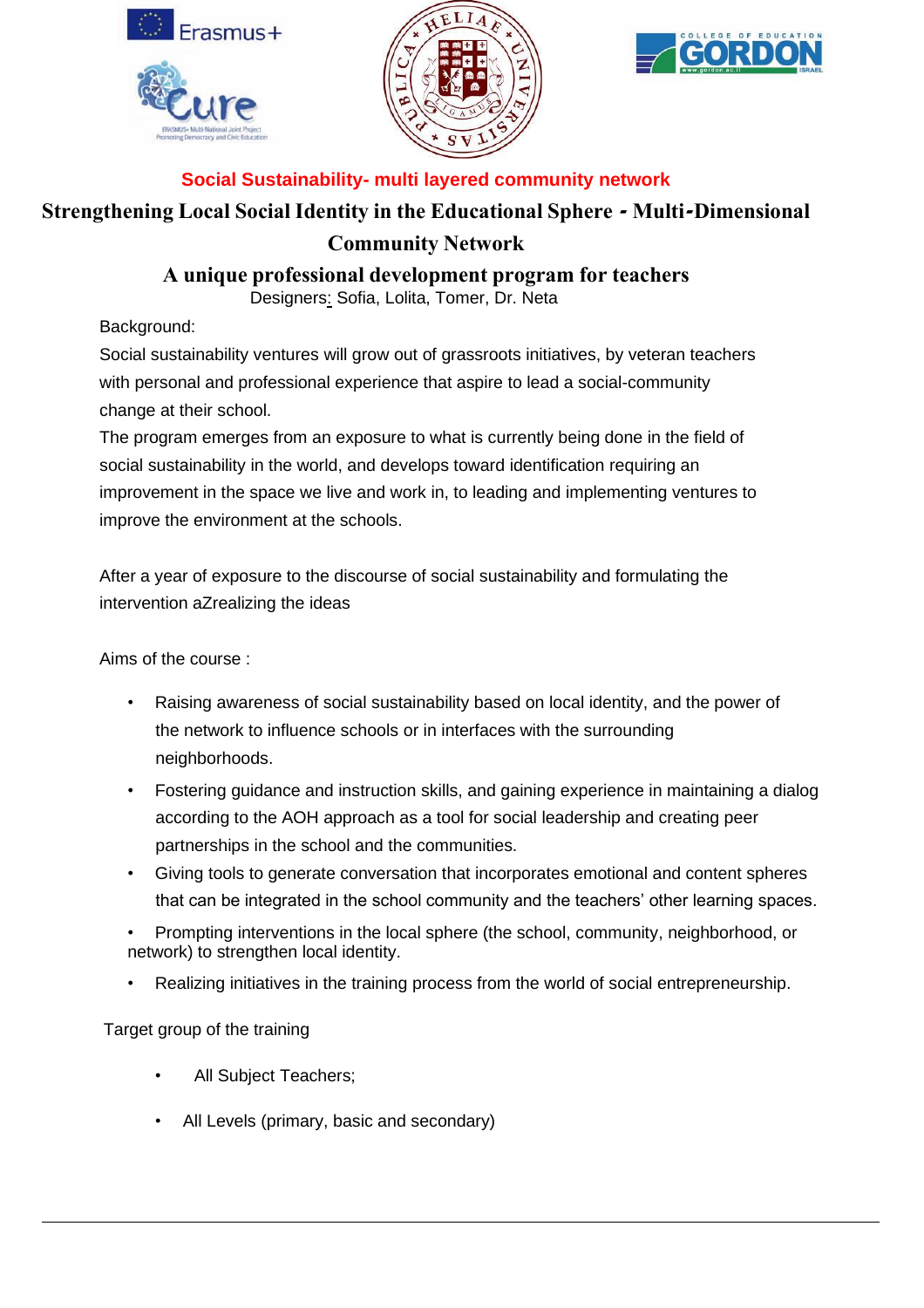





## **Social Sustainability- multi layered community network**

## **Strengthening Local Social Identity in the Educational Sphere - Multi-Dimensional Community Network**

**A unique professional development program for teachers**

Designers: Sofia, Lolita, Tomer, Dr. Neta

Background:

Social sustainability ventures will grow out of grassroots initiatives, by veteran teachers with personal and professional experience that aspire to lead a social-community change at their school.

The program emerges from an exposure to what is currently being done in the field of social sustainability in the world, and develops toward identification requiring an improvement in the space we live and work in, to leading and implementing ventures to improve the environment at the schools.

After a year of exposure to the discourse of social sustainability and formulating the intervention aZrealizing the ideas

Aims of the course :

- Raising awareness of social sustainability based on local identity, and the power of the network to influence schools or in interfaces with the surrounding neighborhoods.
- Fostering guidance and instruction skills, and gaining experience in maintaining a dialog according to the AOH approach as a tool for social leadership and creating peer partnerships in the school and the communities.
- Giving tools to generate conversation that incorporates emotional and content spheres that can be integrated in the school community and the teachers' other learning spaces.
- Prompting interventions in the local sphere (the school, community, neighborhood, or network) to strengthen local identity.
- Realizing initiatives in the training process from the world of social entrepreneurship.

Target group of the training

- All Subject Teachers;
- All Levels (primary, basic and secondary)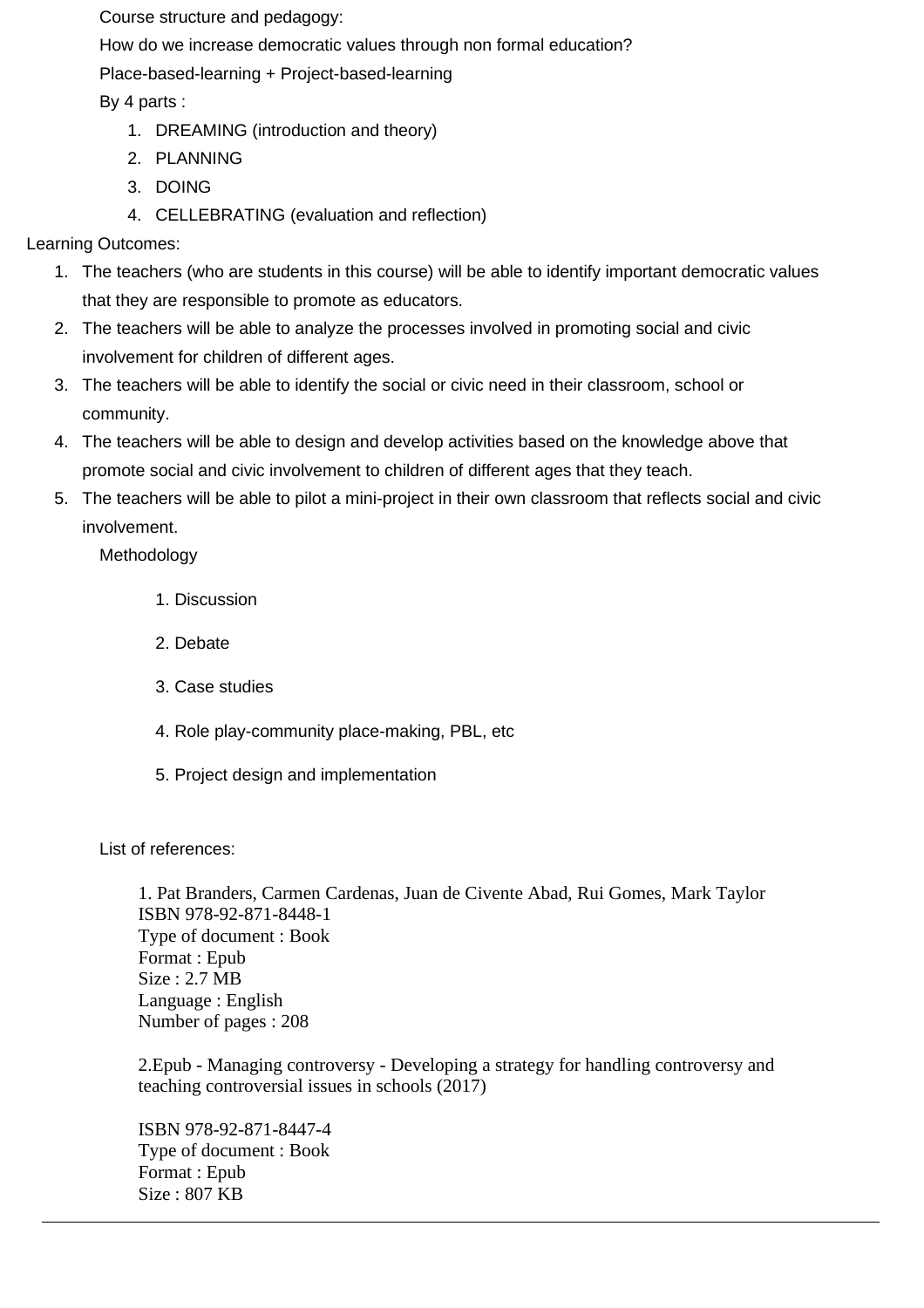Course structure and pedagogy:

How do we increase democratic values through non formal education?

Place-based-learning + Project-based-learning

By 4 parts :

- 1. DREAMING (introduction and theory)
- 2. PLANNING
- 3. DOING
- 4. CELLEBRATING (evaluation and reflection)

Learning Outcomes:

- 1. The teachers (who are students in this course) will be able to identify important democratic values that they are responsible to promote as educators.
- 2. The teachers will be able to analyze the processes involved in promoting social and civic involvement for children of different ages.
- 3. The teachers will be able to identify the social or civic need in their classroom, school or community.
- 4. The teachers will be able to design and develop activities based on the knowledge above that promote social and civic involvement to children of different ages that they teach.
- 5. The teachers will be able to pilot a mini-project in their own classroom that reflects social and civic involvement.

Methodology

- 1. Discussion
- 2. Debate
- 3. Case studies
- 4. Role play-community place-making, PBL, etc
- 5. Project design and implementation

List of references:

1. Pat Branders, Carmen Cardenas, Juan de Civente Abad, Rui Gomes, Mark Taylor ISBN 978-92-871-8448-1 Type of document : Book Format : Epub Size : 2.7 MB Language : English Number of pages : 208

2.Epub - Managing controversy - Developing a strategy for handling controversy and teaching controversial issues in schools (2017)

ISBN 978-92-871-8447-4 Type of document : Book Format : Epub Size : 807 KB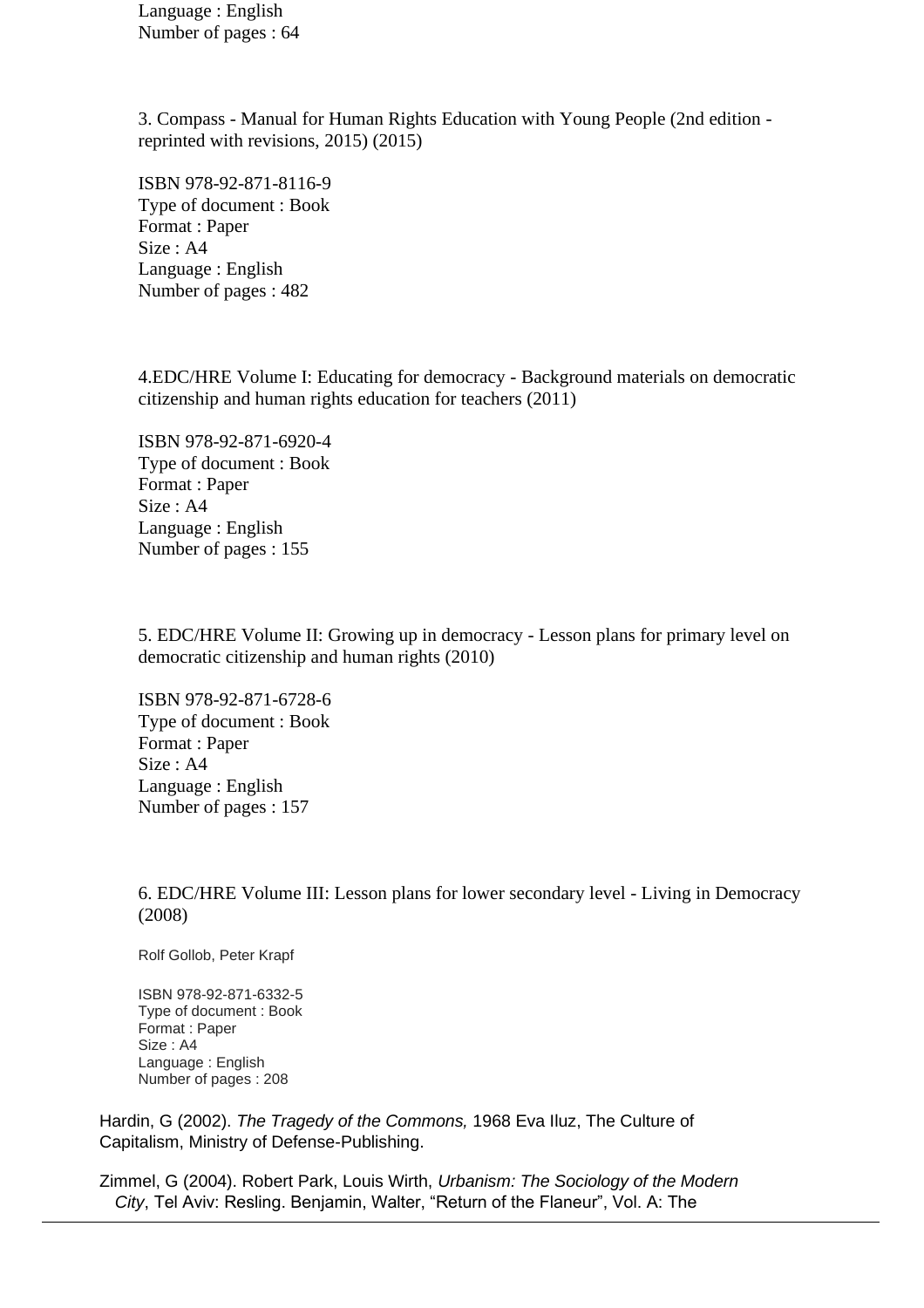Language : English Number of pages : 64

3. Compass - Manual for Human Rights Education with Young People (2nd edition reprinted with revisions, 2015) (2015)

ISBN 978-92-871-8116-9 Type of document : Book Format : Paper Size : A4 Language : English Number of pages : 482

4.EDC/HRE Volume I: Educating for democracy - Background materials on democratic citizenship and human rights education for teachers (2011)

ISBN 978-92-871-6920-4 Type of document : Book Format : Paper Size : A4 Language : English Number of pages : 155

5. EDC/HRE Volume II: Growing up in democracy - Lesson plans for primary level on democratic citizenship and human rights (2010)

ISBN 978-92-871-6728-6 Type of document : Book Format : Paper Size : A4 Language : English Number of pages : 157

6. EDC/HRE Volume III: Lesson plans for lower secondary level - Living in Democracy (2008)

Rolf Gollob, Peter Krapf

ISBN 978-92-871-6332-5 Type of document : Book Format : Paper Size : A4 Language : English Number of pages : 208

Hardin, G (2002). *The Tragedy of the Commons,* 1968 Eva Iluz, The Culture of Capitalism, Ministry of Defense-Publishing.

Zimmel, G (2004). Robert Park, Louis Wirth, *Urbanism: The Sociology of the Modern City*, Tel Aviv: Resling. Benjamin, Walter, "Return of the Flaneur", Vol. A: The